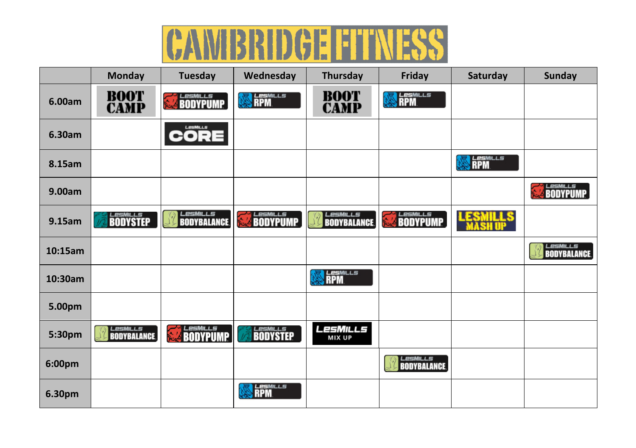## **CAMBRIDGE FITNESS**

|         | <b>Monday</b>                         | Tuesday                                      | Wednesday                      | Thursday                              | Friday            | Saturday                | <b>Sunday</b>                  |
|---------|---------------------------------------|----------------------------------------------|--------------------------------|---------------------------------------|-------------------|-------------------------|--------------------------------|
| 6.00am  | <b>BOOT</b><br><b>CAMP</b>            | <b>ESMILLS</b>                               | <b>RPM</b><br>₩                | <b>BOOT</b><br><b>CAMP</b>            | <b>SALESMILLS</b> |                         |                                |
| 6.30am  |                                       | LesMILLS<br>CORE                             |                                |                                       |                   |                         |                                |
| 8.15am  |                                       |                                              |                                |                                       |                   | <i>LesMILLS</i><br>RPM  |                                |
| 9.00am  |                                       |                                              |                                |                                       |                   |                         | <b>SEE BODYPUMP</b>            |
| 9.15am  | <b>BODYSTEP</b>                       | <b>LesMILLs</b><br><b>BODYBALANCE</b>        | <b>LesMILLS</b>                | <b>LESMILLS</b><br><b>BODYBALANCE</b> | <b>EXAMPLE</b>    | <b>LESMILLS</b><br>Tell |                                |
| 10:15am |                                       |                                              |                                |                                       |                   |                         | LesMILLs<br><b>BODYBALANCE</b> |
| 10:30am |                                       |                                              |                                | <b>RPM</b>                            |                   |                         |                                |
| 5.00pm  |                                       |                                              |                                |                                       |                   |                         |                                |
| 5:30pm  | <b>LESMILLS</b><br><b>BODYBALANCE</b> | LesMILLs<br>$\frac{1}{2}$<br><b>BODYPUMP</b> | <b>EGENILLS</b><br>BODYSTEP    | LesMills<br><b>MIX UP</b>             |                   |                         |                                |
| 6:00pm  |                                       |                                              |                                |                                       | <b>LesMILLS</b>   |                         |                                |
| 6.30pm  |                                       |                                              | <b>LesM</b> ILLS<br><b>RPM</b> |                                       |                   |                         |                                |